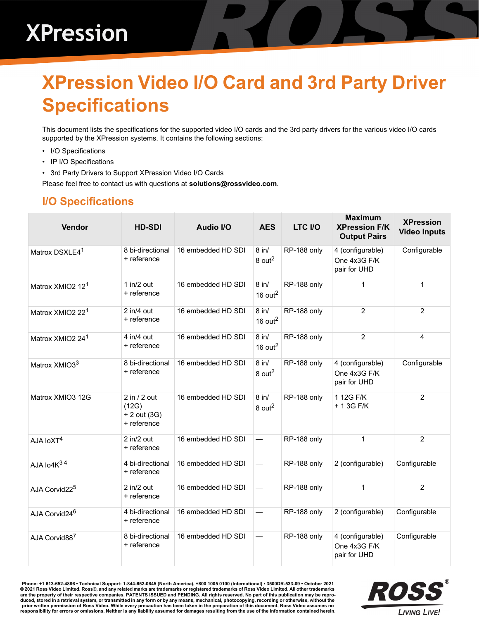### **XPression Video I/O Card and 3rd Party Driver Specifications**

This document lists the specifications for the supported video I/O cards and the 3rd party drivers for the various video I/O cards supported by the XPression systems. It contains the following sections:

- • [I/O Specifications](#page-0-0)
- • [IP I/O Specifications](#page-2-0)
- • [3rd Party Drivers to Support XPression Video I/O Cards](#page-3-0)

Please feel free to contact us with questions at **solutions@rossvideo.com**.

#### <span id="page-0-0"></span>**I/O Specifications**

| Vendor                       | <b>HD-SDI</b>                                                     | <b>Audio I/O</b>   | <b>AES</b>                      | LTC I/O     | <b>Maximum</b><br><b>XPression F/K</b><br><b>Output Pairs</b> | <b>XPression</b><br><b>Video Inputs</b> |
|------------------------------|-------------------------------------------------------------------|--------------------|---------------------------------|-------------|---------------------------------------------------------------|-----------------------------------------|
| Matrox DSXLE4 <sup>1</sup>   | 8 bi-directional<br>+ reference                                   | 16 embedded HD SDI | $8$ in/<br>$8$ out <sup>2</sup> | RP-188 only | 4 (configurable)<br>One 4x3G F/K<br>pair for UHD              | Configurable                            |
| Matrox XMIO2 12 <sup>1</sup> | 1 in/2 out<br>+ reference                                         | 16 embedded HD SDI | $8$ in/<br>16 out $^2$          | RP-188 only | $\mathbf{1}$                                                  | 1                                       |
| Matrox XMIO2 22 <sup>1</sup> | $2$ in/4 out<br>+ reference                                       | 16 embedded HD SDI | $8$ in/<br>16 $out2$            | RP-188 only | $\overline{2}$                                                | $\overline{2}$                          |
| Matrox XMIO2 24 <sup>1</sup> | 4 in/4 out<br>+ reference                                         | 16 embedded HD SDI | $8$ in/<br>16 out $^2$          | RP-188 only | $\overline{2}$                                                | 4                                       |
| Matrox XMIO33                | 8 bi-directional<br>+ reference                                   | 16 embedded HD SDI | $8$ in/<br>$8$ out <sup>2</sup> | RP-188 only | 4 (configurable)<br>One 4x3G F/K<br>pair for UHD              | Configurable                            |
| Matrox XMIO3 12G             | $\overline{2}$ in / 2 out<br>(12G)<br>+ 2 out (3G)<br>+ reference | 16 embedded HD SDI | $8$ in/<br>$8$ out <sup>2</sup> | RP-188 only | 1 12G F/K<br>+ 1 3G F/K                                       | 2                                       |
| AJA IoXT <sup>4</sup>        | 2 in/2 out<br>+ reference                                         | 16 embedded HD SDI |                                 | RP-188 only | $\mathbf{1}$                                                  | 2                                       |
| AJA lo4K34                   | 4 bi-directional<br>+ reference                                   | 16 embedded HD SDI |                                 | RP-188 only | 2 (configurable)                                              | Configurable                            |
| AJA Corvid22 <sup>5</sup>    | $2$ in/ $2$ out<br>+ reference                                    | 16 embedded HD SDI | $\overline{\phantom{0}}$        | RP-188 only | $\mathbf{1}$                                                  | $\overline{2}$                          |
| AJA Corvid24 <sup>6</sup>    | 4 bi-directional<br>+ reference                                   | 16 embedded HD SDI |                                 | RP-188 only | 2 (configurable)                                              | Configurable                            |
| AJA Corvid887                | 8 bi-directional<br>+ reference                                   | 16 embedded HD SDI |                                 | RP-188 only | 4 (configurable)<br>One 4x3G F/K<br>pair for UHD              | Configurable                            |

**Phone: +1 613-652-4886 • Technical Support: 1-844-652-0645 (North America), +800 1005 0100 (International) • 3500DR-533-09 • October 2021 © 2021 Ross Video Limited. Ross®, and any related marks are trademarks or registered trademarks of Ross Video Limited. All other trademarks are the property of their respective companies. PATENTS ISSUED and PENDING. All rights reserved. No part of this publication may be repro**duced, stored in a retrieval system, or transmitted in any form or by any means, mechanical, photocopying, recording or otherwise, without the<br>prior written permission of Ross Video. While every precaution has been taken i

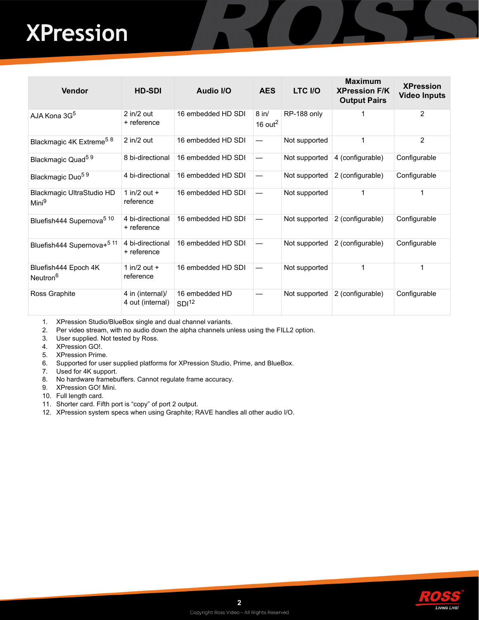# **XPression**

| <b>Vendor</b>                                  | <b>HD-SDI</b>                        | <b>Audio I/O</b>                    | <b>AES</b>                     | LTC I/O       | <b>Maximum</b><br><b>XPression F/K</b><br><b>Output Pairs</b> | <b>XPression</b><br><b>Video Inputs</b> |
|------------------------------------------------|--------------------------------------|-------------------------------------|--------------------------------|---------------|---------------------------------------------------------------|-----------------------------------------|
| AJA Kona 3G <sup>5</sup>                       | $2$ in/ $2$ out<br>+ reference       | 16 embedded HD SDI                  | $8$ in/<br>16 out $^2$         | RP-188 only   |                                                               | 2                                       |
| Blackmagic 4K Extreme <sup>58</sup>            | $2$ in/ $2$ out                      | 16 embedded HD SDI                  |                                | Not supported | 1                                                             | $\overline{2}$                          |
| Blackmagic Quad <sup>59</sup>                  | 8 bi-directional                     | 16 embedded HD SDI                  |                                | Not supported | 4 (configurable)                                              | Configurable                            |
| Blackmagic Duo <sup>59</sup>                   | 4 bi-directional                     | 16 embedded HD SDI                  | $\qquad \qquad \longleftarrow$ | Not supported | 2 (configurable)                                              | Configurable                            |
| Blackmagic UltraStudio HD<br>Mini <sup>9</sup> | 1 in/2 out $+$<br>reference          | 16 embedded HD SDI                  |                                | Not supported |                                                               | 1                                       |
| Bluefish444 Supernova <sup>5 10</sup>          | 4 bi-directional<br>+ reference      | 16 embedded HD SDI                  |                                | Not supported | 2 (configurable)                                              | Configurable                            |
| Bluefish444 Supernova+ <sup>5 11</sup>         | 4 bi-directional<br>+ reference      | 16 embedded HD SDI                  |                                | Not supported | 2 (configurable)                                              | Configurable                            |
| Bluefish444 Epoch 4K<br>Neutron <sup>6</sup>   | 1 in/2 out $+$<br>reference          | 16 embedded HD SDI                  |                                | Not supported |                                                               | 1                                       |
| Ross Graphite                                  | 4 in (internal)/<br>4 out (internal) | 16 embedded HD<br>SDI <sup>12</sup> |                                | Not supported | 2 (configurable)                                              | Configurable                            |

- 1. XPression Studio/BlueBox single and dual channel variants.
- 2. Per video stream, with no audio down the alpha channels unless using the FILL2 option.
- 3. User supplied. Not tested by Ross.
- 4. XPression GO!.
- 5. XPression Prime.
- 6. Supported for user supplied platforms for XPression Studio, Prime, and BlueBox.
- 7. Used for 4K support.
- 8. No hardware framebuffers. Cannot regulate frame accuracy.
- 9. XPression GO! Mini.
- 10. Full length card.
- 11. Shorter card. Fifth port is "copy" of port 2 output.
- 12. XPression system specs when using Graphite; RAVE handles all other audio I/O.

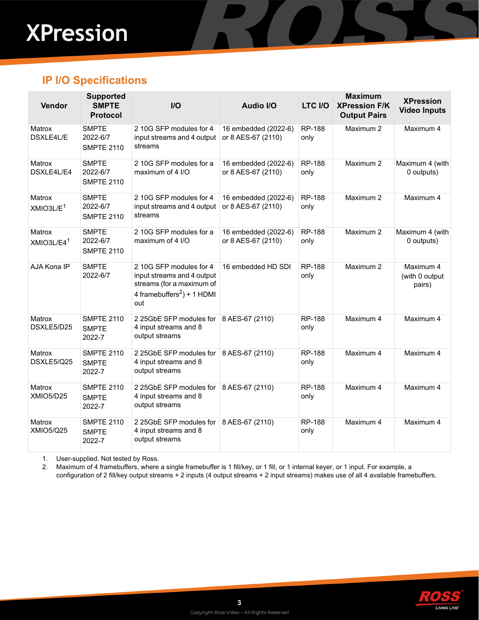# **XPression**

#### <span id="page-2-0"></span>**IP I/O Specifications**

| Vendor                           | <b>Supported</b><br><b>SMPTE</b><br><b>Protocol</b> | $II$                                                                                                                                | <b>Audio I/O</b>                           | LTC I/O               | <b>Maximum</b><br><b>XPression F/K</b><br><b>Output Pairs</b> | <b>XPression</b><br><b>Video Inputs</b> |
|----------------------------------|-----------------------------------------------------|-------------------------------------------------------------------------------------------------------------------------------------|--------------------------------------------|-----------------------|---------------------------------------------------------------|-----------------------------------------|
| Matrox<br>DSXLE4L/E              | <b>SMPTE</b><br>2022-6/7<br><b>SMPTE 2110</b>       | 2 10G SFP modules for 4<br>input streams and 4 output<br>streams                                                                    | 16 embedded (2022-6)<br>or 8 AES-67 (2110) | <b>RP-188</b><br>only | Maximum 2                                                     | Maximum 4                               |
| Matrox<br>DSXLE4L/E4             | <b>SMPTE</b><br>2022-6/7<br><b>SMPTE 2110</b>       | 2 10G SFP modules for a<br>maximum of 4 I/O                                                                                         | 16 embedded (2022-6)<br>or 8 AES-67 (2110) | <b>RP-188</b><br>only | Maximum 2                                                     | Maximum 4 (with<br>0 outputs)           |
| Matrox<br>XMLO3L/E <sup>1</sup>  | <b>SMPTE</b><br>2022-6/7<br><b>SMPTE 2110</b>       | 2 10G SFP modules for 4<br>input streams and 4 output<br>streams                                                                    | 16 embedded (2022-6)<br>or 8 AES-67 (2110) | <b>RP-188</b><br>only | Maximum 2                                                     | Maximum 4                               |
| Matrox<br>XMIO3L/E4 <sup>1</sup> | <b>SMPTE</b><br>2022-6/7<br><b>SMPTE 2110</b>       | 2 10G SFP modules for a<br>maximum of 4 I/O                                                                                         | 16 embedded (2022-6)<br>or 8 AES-67 (2110) | <b>RP-188</b><br>only | Maximum 2                                                     | Maximum 4 (with<br>0 outputs)           |
| AJA Kona IP                      | <b>SMPTE</b><br>2022-6/7                            | 2 10G SFP modules for 4<br>input streams and 4 output<br>streams (for a maximum of<br>4 framebuffers <sup>2</sup> ) + 1 HDMI<br>out | 16 embedded HD SDI                         | RP-188<br>only        | Maximum 2                                                     | Maximum 4<br>(with 0 output<br>pairs)   |
| Matrox<br>DSXLE5/D25             | <b>SMPTE 2110</b><br><b>SMPTE</b><br>2022-7         | 2 25GbE SFP modules for<br>4 input streams and 8<br>output streams                                                                  | 8 AES-67 (2110)                            | RP-188<br>only        | Maximum 4                                                     | Maximum 4                               |
| Matrox<br>DSXLE5/Q25             | <b>SMPTE 2110</b><br><b>SMPTE</b><br>2022-7         | 2 25GbE SFP modules for<br>4 input streams and 8<br>output streams                                                                  | 8 AES-67 (2110)                            | RP-188<br>only        | Maximum 4                                                     | Maximum 4                               |
| Matrox<br>XMIO5/D25              | <b>SMPTE 2110</b><br><b>SMPTE</b><br>2022-7         | 2 25GbE SFP modules for 8 AES-67 (2110)<br>4 input streams and 8<br>output streams                                                  |                                            | RP-188<br>only        | Maximum 4                                                     | Maximum 4                               |
| Matrox<br><b>XMIO5/Q25</b>       | <b>SMPTE 2110</b><br><b>SMPTE</b><br>2022-7         | 2 25GbE SFP modules for 8 AES-67 (2110)<br>4 input streams and 8<br>output streams                                                  |                                            | RP-188<br>only        | Maximum 4                                                     | Maximum 4                               |

1. User-supplied. Not tested by Ross.

2. Maximum of 4 framebuffers, where a single framebuffer is 1 fill/key, or 1 fill, or 1 internal keyer, or 1 input. For example, a configuration of 2 fill/key output streams + 2 inputs (4 output streams + 2 input streams) makes use of all 4 available framebuffers.

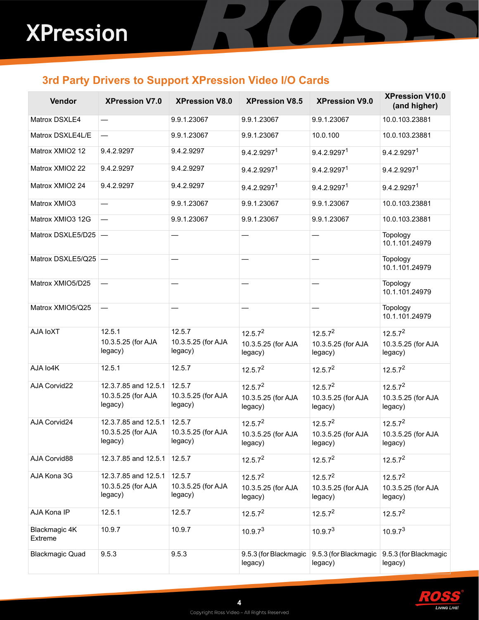### <span id="page-3-0"></span>**3rd Party Drivers to Support XPression Video I/O Cards**

| Vendor                          | <b>XPression V7.0</b>                                 | <b>XPression V8.0</b>                   | <b>XPression V8.5</b>                                | <b>XPression V9.0</b>                                | <b>XPression V10.0</b><br>(and higher)               |
|---------------------------------|-------------------------------------------------------|-----------------------------------------|------------------------------------------------------|------------------------------------------------------|------------------------------------------------------|
| Matrox DSXLE4                   |                                                       | 9.9.1.23067                             | 9.9.1.23067                                          | 9.9.1.23067                                          | 10.0.103.23881                                       |
| Matrox DSXLE4L/E                | $\overline{\phantom{0}}$                              | 9.9.1.23067                             | 9.9.1.23067                                          | 10.0.100                                             | 10.0.103.23881                                       |
| Matrox XMIO2 12                 | 9.4.2.9297                                            | 9.4.2.9297                              | 9.4.2.9297 <sup>1</sup>                              | 9.4.2.92971                                          | 9.4.2.9297 <sup>1</sup>                              |
| Matrox XMIO2 22                 | 9.4.2.9297                                            | 9.4.2.9297                              | 9.4.2.92971                                          | 9.4.2.92971                                          | 9.4.2.92971                                          |
| Matrox XMIO2 24                 | 9.4.2.9297                                            | 9.4.2.9297                              | 9.4.2.9297 <sup>1</sup>                              | 9.4.2.92971                                          | 9.4.2.92971                                          |
| Matrox XMIO3                    |                                                       | 9.9.1.23067                             | 9.9.1.23067                                          | 9.9.1.23067                                          | 10.0.103.23881                                       |
| Matrox XMIO3 12G                |                                                       | 9.9.1.23067                             | 9.9.1.23067                                          | 9.9.1.23067                                          | 10.0.103.23881                                       |
| Matrox DSXLE5/D25 -             |                                                       |                                         |                                                      |                                                      | Topology<br>10.1.101.24979                           |
| Matrox DSXLE5/Q25 -             |                                                       |                                         |                                                      |                                                      | Topology<br>10.1.101.24979                           |
| Matrox XMIO5/D25                |                                                       |                                         |                                                      |                                                      | Topology<br>10.1.101.24979                           |
| Matrox XMIO5/Q25                | $\overline{\phantom{0}}$                              |                                         |                                                      |                                                      | Topology<br>10.1.101.24979                           |
| AJA IoXT                        | 12.5.1<br>10.3.5.25 (for AJA<br>legacy)               | 12.5.7<br>10.3.5.25 (for AJA<br>legacy) | 12.5.7 <sup>2</sup><br>10.3.5.25 (for AJA<br>legacy) | 12.5.7 <sup>2</sup><br>10.3.5.25 (for AJA<br>legacy) | 12.5.7 <sup>2</sup><br>10.3.5.25 (for AJA<br>legacy) |
| AJA Io4K                        | 12.5.1                                                | 12.5.7                                  | 12.5.7 <sup>2</sup>                                  | 12.5.7 <sup>2</sup>                                  | 12.5.7 <sup>2</sup>                                  |
| AJA Corvid22                    | 12.3.7.85 and 12.5.1<br>10.3.5.25 (for AJA<br>legacy) | 12.5.7<br>10.3.5.25 (for AJA<br>legacy) | 12.5.7 <sup>2</sup><br>10.3.5.25 (for AJA<br>legacy) | 12.5.7 <sup>2</sup><br>10.3.5.25 (for AJA<br>legacy) | 12.5.7 <sup>2</sup><br>10.3.5.25 (for AJA<br>legacy) |
| AJA Corvid24                    | 12.3.7.85 and 12.5.1<br>10.3.5.25 (for AJA<br>legacy) | 12.5.7<br>10.3.5.25 (for AJA<br>legacy) | 12.5.7 <sup>2</sup><br>10.3.5.25 (for AJA<br>legacy) | 12.5.7 <sup>2</sup><br>10.3.5.25 (for AJA<br>legacy) | 12.5.7 <sup>2</sup><br>10.3.5.25 (for AJA<br>legacy) |
| AJA Corvid88                    | 12.3.7.85 and 12.5.1                                  | 12.5.7                                  | 12.5.7 <sup>2</sup>                                  | 12.5.7 <sup>2</sup>                                  | 12.5.7 <sup>2</sup>                                  |
| AJA Kona 3G                     | 12.3.7.85 and 12.5.1<br>10.3.5.25 (for AJA<br>legacy) | 12.5.7<br>10.3.5.25 (for AJA<br>legacy) | 12.5.7 <sup>2</sup><br>10.3.5.25 (for AJA<br>legacy) | 12.5.7 <sup>2</sup><br>10.3.5.25 (for AJA<br>legacy) | 12.5.7 <sup>2</sup><br>10.3.5.25 (for AJA<br>legacy) |
| AJA Kona IP                     | 12.5.1                                                | 12.5.7                                  | 12.5.7 <sup>2</sup>                                  | 12.5.7 <sup>2</sup>                                  | 12.5.7 <sup>2</sup>                                  |
| Blackmagic 4K<br><b>Extreme</b> | 10.9.7                                                | 10.9.7                                  | 10.9.7 <sup>3</sup>                                  | 10.9.7 <sup>3</sup>                                  | 10.9.7 <sup>3</sup>                                  |
| <b>Blackmagic Quad</b>          | 9.5.3                                                 | 9.5.3                                   | 9.5.3 (for Blackmagic<br>legacy)                     | 9.5.3 (for Blackmagic<br>legacy)                     | 9.5.3 (for Blackmagic<br>legacy)                     |